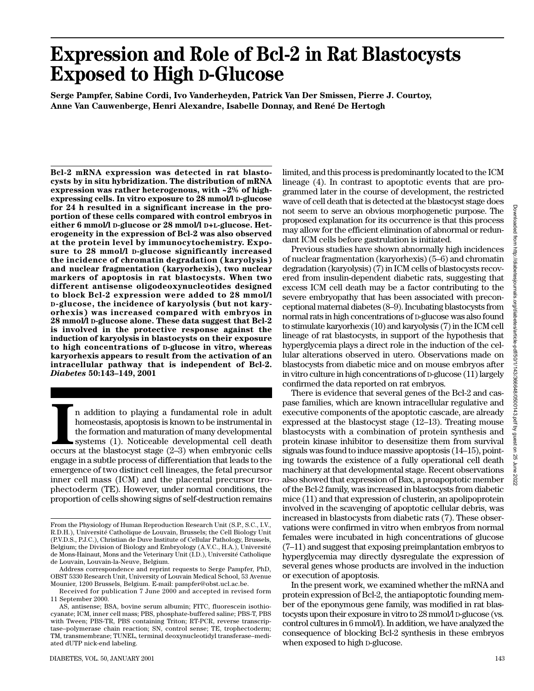# **Expression and Role of Bcl-2 in Rat Blastocysts Exposed to High D-Glucose**

**Serge Pampfer, Sabine Cordi, Ivo Vanderheyden, Patrick Van Der Smissen, Pierre J. Courtoy, Anne Van Cauwenberge, Henri Alexandre, Isabelle Donnay, and René De Hertogh**

**Bcl-2 mRNA expression was detected in rat blastocysts by in situ hybridization. The distribution of mRNA expression was rather heterogenous, with ~2% of highexpressing cells. In vitro exposure to 28 mmol/l D-glucose for 24 h resulted in a significant increase in the proportion of these cells compared with control embryos in either 6 mmol/l D-glucose or 28 mmol/l D+L-glucose. Heterogeneity in the expression of Bcl-2 was also observed at the protein level by immunocytochemistry. Exposure to 28 mmol/l D-glucose significantly increased the incidence of chromatin degradation (karyolysis) and nuclear fragmentation (karyorhexis), two nuclear markers of apoptosis in rat blastocysts. When two different antisense oligodeoxynucleotides designed to block Bcl-2 expression were added to 28 mmol/l D-glucose, the incidence of karyolysis (but not karyorhexis) was increased compared with embryos in 28 mmol/l D-glucose alone. These data suggest that Bcl-2 is involved in the protective response against the induction of karyolysis in blastocysts on their exposure to high concentrations of D-glucose in vitro, whereas karyorhexis appears to result from the activation of an intracellular pathway that is independent of Bcl-2.** *Diabetes* **50:143–149, 2001**

II addition to playing a fundamental role in adult homeostasis, apoptosis is known to be instrumental in the formation and maturation of many developmental cell death occurs at the blastocyst stage (2–3) when embryonic cel n addition to playing a fundamental role in adult homeostasis, apoptosis is known to be instrumental in the formation and maturation of many developmental systems (1). Noticeable developmental cell death engage in a subtle process of differentiation that leads to the emergence of two distinct cell lineages, the fetal precursor inner cell mass (ICM) and the placental precursor trophectoderm (TE). However, under normal conditions, the proportion of cells showing signs of self-destruction remains limited, and this process is predominantly located to the ICM lineage (4). In contrast to apoptotic events that are programmed later in the course of development, the restricted wave of cell death that is detected at the blastocyst stage does not seem to serve an obvious morphogenetic purpose. The proposed explanation for its occurrence is that this process may allow for the efficient elimination of abnormal or redundant ICM cells before gastrulation is initiated.

Previous studies have shown abnormally high incidences of nuclear fragmentation (karyorhexis) (5–6) and chromatin degradation (karyolysis) (7) in ICM cells of blastocysts recovered from insulin-dependent diabetic rats, suggesting that excess ICM cell death may be a factor contributing to the severe embryopathy that has been associated with preconceptional maternal diabetes (8–9). Incubating blastocysts from normal rats in high concentrations of D-glucose was also found to stimulate karyorhexis (10) and karyolysis (7) in the ICM cell lineage of rat blastocysts, in support of the hypothesis that hyperglycemia plays a direct role in the induction of the cellular alterations observed in utero. Observations made on blastocysts from diabetic mice and on mouse embryos after in vitro culture in high concentrations of D-glucose (11) largely confirmed the data reported on rat embryos.

There is evidence that several genes of the Bcl-2 and caspase families, which are known intracellular regulative and executive components of the apoptotic cascade, are already expressed at the blastocyst stage (12–13). Treating mouse blastocysts with a combination of protein synthesis and protein kinase inhibitor to desensitize them from survival signals was found to induce massive apoptosis (14–15), pointing towards the existence of a fully operational cell death machinery at that developmental stage. Recent observations also showed that expression of Bax, a proapoptotic member of the Bcl-2 family, was increased in blastocysts from diabetic mice (11) and that expression of clusterin, an apolipoprotein involved in the scavenging of apoptotic cellular debris, was increased in blastocysts from diabetic rats (7). These observations were confirmed in vitro when embryos from normal females were incubated in high concentrations of glucose (7–11) and suggest that exposing preimplantation embryos to hyperglycemia may directly dysregulate the expression of several genes whose products are involved in the induction or execution of apoptosis.

In the present work, we examined whether the mRNA and protein expression of Bcl-2, the antiapoptotic founding member of the eponymous gene family, was modified in rat blastocysts upon their exposure in vitro to 28 mmol/l D-glucose (vs. control cultures in 6 mmol/l). In addition, we have analyzed the consequence of blocking Bcl-2 synthesis in these embryos when exposed to high D-glucose.

From the Physiology of Human Reproduction Research Unit (S.P., S.C., I.V., R.D.H.), Université Catholique de Louvain, Brussels; the Cell Biology Unit (P.V.D.S., P.J.C.), Christian de Duve Institute of Cellular Pathology, Brussels, Belgium; the Division of Biology and Embryology (A.V.C., H.A.), Université de Mons-Hainaut, Mons and the Veterinary Unit (I.D.), Université Catholique de Louvain, Louvain-la-Neuve, Belgium.

Address correspondence and reprint requests to Serge Pampfer, PhD, OBST 5330 Research Unit, University of Louvain Medical School, 53 Avenue Mounier, 1200 Brussels, Belgium. E-mail: pampfer@obst.ucl.ac.be.

Received for publication 7 June 2000 and accepted in revised form 11 September 2000.

AS, antisense; BSA, bovine serum albumin; FITC, fluorescein isothiocyanate; ICM, inner cell mass; PBS, phosphate-buffered saline; PBS-T, PBS with Tween; PBS-TR, PBS containing Triton; RT-PCR, reverse transcriptase–polymerase chain reaction; SN, control sense; TE, trophectoderm; TM, transmembrane; TUNEL, terminal deoxynucleotidyl transferase–mediated dUTP nick-end labeling.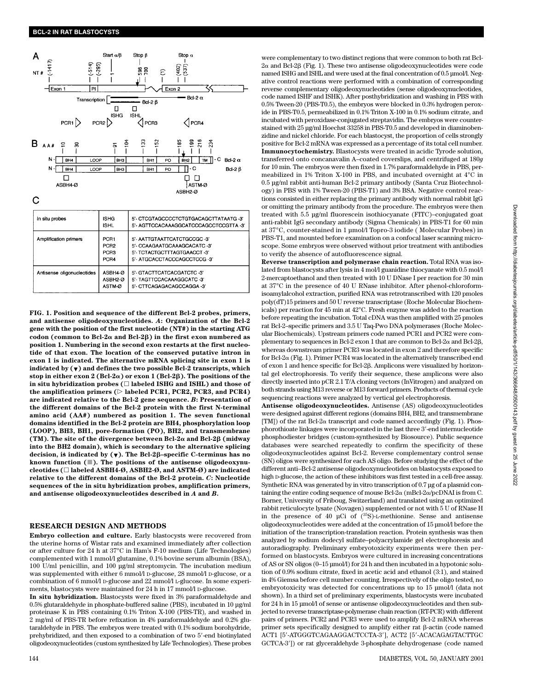

**FIG. 1. Position and sequence of the different Bcl-2 probes, primers, and antisense oligodeoxynucleotides.** *A***: Organization of the Bcl-2 gene with the position of the first nucleotide (NT#) in the starting ATG codon (common to Bcl-2**- **and Bcl-2) in the first exon numbered as position 1. Numbering in the second exon restarts at the first nucleotide of that exon. The location of the conserved putative intron in exon 1 is indicated. The alternative mRNA splicing site in exon 1 is indicated by (**-**) and defines the two possible Bcl-2 transcripts, which stop in either exon 2 (Bcl-2α) or exon 1 (Bcl-2β). The positions of the in situ hybridization probes ( labeled ISHG and ISHL) and those of** the amplification primers  $(\triangleright$  labeled PCR1, PCR2, PCR3, and PCR4) **are indicated relative to the Bcl-2 gene sequence.** *B***: Presentation of the different domains of the Bcl-2 protein with the first N-terminal amino acid (AA#) numbered as position 1. The seven functional domains identified in the Bcl-2 protein are BH4, phosphorylation loop (LOOP), BH3, BH1, pore-formation (PO), BH2, and transmembrane (TM). The site of the divergence between Bcl-2**- **and Bcl-2 (midway into the BH2 domain), which is secondary to the alternative splicing decision, is indicated by (**-**). The Bcl-2–specific C-terminus has no known function (). The positions of the antisense oligodeoxynucleotides ( labeled ASBH4-Ø, ASBH2-Ø, and ASTM-Ø) are indicated relative to the different domains of the Bcl-2 protein.** *C***: Nucleotide sequences of the in situ hybridization probes, amplification primers, and antisense oligodeoxynucleotides described in** *A* **and** *B***.**

#### **RESEARCH DESIGN AND METHODS**

**Embryo collection and culture.** Early blastocysts were recovered from the uterine horns of Wistar rats and examined immediately after collection or after culture for 24 h at 37°C in Ham's F-10 medium (Life Technologies) complemented with 1 mmol/l glutamine, 0.1% bovine serum albumin (BSA), 100 U/ml penicillin, and 100 µg/ml streptomycin. The incubation medium was supplemented with either 6 mmol/l D-glucose, 28 mmol/l D-glucose, or a combination of 6 mmol/l D-glucose and 22 mmol/l L-glucose. In some experiments, blastocysts were maintained for 24 h in 17 mmol/l D-glucose.

**In situ hybridization.** Blastocysts were fixed in 3% paraformaldehyde and 0.5% glutaraldehyde in phosphate-buffered saline (PBS), incubated in 10 µg/ml proteinase K in PBS containing 0.1% Triton X-100 (PBS-TR), and washed in 2 mg/ml of PBS-TR before refixation in 4% paraformaldehyde and 0.2% glutaraldehyde in PBS. The embryos were treated with 0.1% sodium borohydride, prehybridized, and then exposed to a combination of two 5'-end biotinylated oligodeoxynucleotides (custom synthesized by Life Technologies). These probes

were complementary to two distinct regions that were common to both rat Bcl- $2\alpha$  and Bcl-2 $\beta$  (Fig. 1). These two antisense oligodeoxynucleotides were code named ISHG and ISHL and were used at the final concentration of 0.5 µmol/l. Negative control reactions were performed with a combination of corresponding reverse complementary oligodeoxynucleotides (sense oligodeoxynucleotides, code named ISHF and ISHK). After posthybridization and washing in PBS with 0.5% Tween-20 (PBS-T0.5), the embryos were blocked in 0.3% hydrogen peroxide in PBS-T0.5, permeabilized in 0.1% Triton X-100 in 0.1% sodium citrate, and incubated with peroxidase-conjugated streptavidin. The embryos were counterstained with 25 µg/ml Hoechst 33258 in PBS-T0.5 and developed in diaminobenzidine and nickel chloride. For each blastocyst, the proportion of cells strongly positive for Bcl-2 mRNA was expressed as a percentage of its total cell number. **Immunocytochemistry.** Blastocysts were treated in acidic Tyrode solution, transferred onto concanavalin A–coated coverslips, and centrifuged at 180*g* for 10 min. The embryos were then fixed in 1.7% paraformaldehyde in PBS, permeabilized in 1% Triton X-100 in PBS, and incubated overnight at 4°C in 0.5 µg/ml rabbit anti-human Bcl-2 primary antibody (Santa Cruz Biotechnology) in PBS with 1% Tween-20 (PBS-T1) and 3% BSA. Negative control reactions consisted in either replacing the primary antibody with normal rabbit IgG or omitting the primary antibody from the procedure. The embryos were then treated with 5.5 µg/ml fluorescein isothiocyanate (FITC)–conjugated goat anti-rabbit IgG secondary antibody (Sigma Chemicals) in PBS-T1 for 60 min at 37°C, counter-stained in 1 µmol/l Topro-3 iodide ( Molecular Probes) in PBS-T1, and mounted before examination on a confocal laser scanning microscope. Some embryos were observed without prior treatment with antibodies to verify the absence of autofluorescence signal.

**Reverse transcription and polymerase chain reaction.** Total RNA was isolated from blastocysts after lysis in 4 mol/l guanidine thiocyanate with 0.5 mol/l 2-mercaptoethanol and then treated with 10 U DNase I per reaction for 30 min at 37°C in the presence of 40 U RNase inhibitor. After phenol-chloroformisoamylalcohol extraction, purified RNA was retrotranscribed with 120 pmoles poly(dT)15 primers and 50 U reverse transcriptase (Roche Molecular Biochemicals) per reaction for 45 min at 42°C. Fresh enzyme was added to the reaction before repeating the incubation. Total cDNA was then amplified with 25 pmoles rat Bcl-2–specific primers and 3.5 U Taq-Pwo DNA polymerases (Roche Molecular Biochemicals). Upstream primers code named PCR1 and PCR2 were complementary to sequences in Bcl-2 exon 1 that are common to Bcl-2 $\alpha$  and Bcl-2 $\beta$ , whereas downstream primer PCR3 was located in exon 2 and therefore specific for Bcl-2 $\alpha$  (Fig. 1). Primer PCR4 was located in the alternatively transcribed end of exon 1 and hence specific for Bcl-2 $\beta$ . Amplicons were visualized by horizontal gel electrophoresis. To verify their sequence, these amplicons were also directly inserted into pCR 2.1 T/A cloning vectors (InVitrogen) and analyzed on both strands using M13 reverse or M13 forward primers. Products of thermal cycle sequencing reactions were analyzed by vertical gel electrophoresis.

**Antisense oligodeoxynucleotides.** Antisense (AS) oligodeoxynucleotides were designed against different regions (domains BH4, BH2, and transmembrane [TM]) of the rat Bcl-2 $\alpha$  transcript and code named accordingly (Fig. 1). Phosphorothioate linkages were incorporated in the last three 3'-end internucleotide phosphodiester bridges (custom-synthesized by Biosource). Public sequence databases were searched repeatedly to confirm the specificity of these oligodeoxynucleotides against Bcl-2. Reverse complementary control sense (SN) oligos were synthesized for each AS oligo. Before studying the effect of the different anti–Bcl-2 antisense oligodeoxynucleotides on blastocysts exposed to high D-glucose, the action of these inhibitors was first tested in a cell-free assay. Synthetic RNA was generated by in vitro transcription of 0.7 µg of a plasmid containing the entire coding sequence of mouse  $Bcl-2\alpha$  (mBcl-2 $\alpha$ /pcDNAI is from C. Borner, University of Friboug, Switzerland) and translated using an optimized rabbit reticulocyte lysate (Novagen) supplemented or not with 5 U of RNase H in the presence of 40 µCi of  $({}^{35}S)$ -L-methionine. Sense and antisense oligodeoxynucleotides were added at the concentration of 15 µmol/l before the initiation of the transcription-translation reaction. Protein synthesis was then analyzed by sodium dodecyl sulfate–polyacrylamide gel electrophoresis and autoradiography. Preliminary embryotoxicity experiments were then performed on blastocysts. Embryos were cultured in increasing concentrations of AS or SN oligos (0–15 µmol/l) for 24 h and then incubated in a hypotonic solution of 0.9% sodium citrate, fixed in acetic acid and ethanol (3:1), and stained in 4% Giemsa before cell number counting. Irrespectively of the oligo tested, no embryotoxicity was detected for concentrations up to 15 µmol/l (data not shown). In a third set of preliminary experiments, blastocysts were incubated for 24 h in 15 µmol/l of sense or antisense oligodeoxynucleotides and then subjected to reverse transcriptase-polymerase chain reaction (RT-PCR) with different pairs of primers. PCR2 and PCR3 were used to amplify Bcl-2 mRNA whereas primer sets specifically designed to amplify either rat  $\beta$ -actin (code named ACT1 [5'-ATGGGTCAGAAGGACTCCTA-3'], ACT2 [5'-ACACAGAGTACTTGC GCTCA-3']) or rat glyceraldehyde 3-phosphate dehydrogenase (code named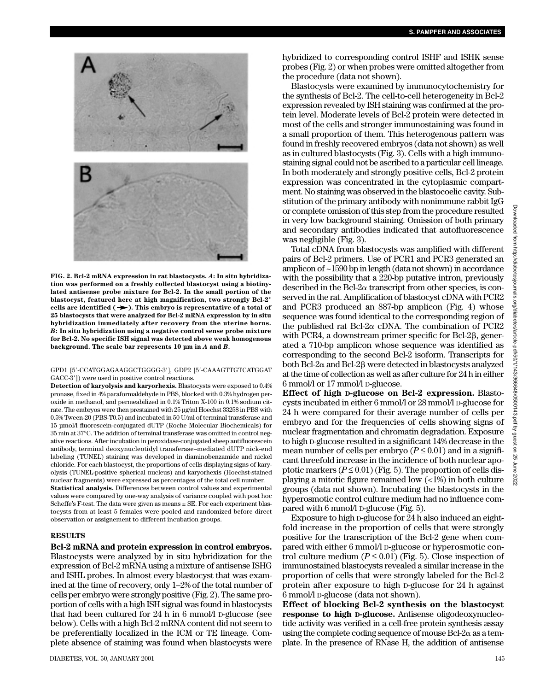

**FIG. 2. Bcl-2 mRNA expression in rat blastocysts.** *A***: In situ hybridization was performed on a freshly collected blastocyst using a biotinylated antisense probe mixture for Bcl-2. In the small portion of the blastocyst, featured here at high magnification, two strongly Bcl-2<sup>+</sup>** cells are identified  $(\rightarrow)$ . This embryo is representative of a total of **25 blastocysts that were analyzed for Bcl-2 mRNA expression by in situ hybridization immediately after recovery from the uterine horns.** *B***: In situ hybridization using a negative control sense probe mixture for Bcl-2. No specific ISH signal was detected above weak homogenous background. The scale bar represents 10 µm in** *A* **and** *B***.**

#### GPD1 [5'-CCATGGAGAAGGCTGGGG-3'], GDP2 [5'-CAAAGTTGTCATGGAT GACC-3']) were used in positive control reactions.

**Detection of karyolysis and karyorhexis.** Blastocysts were exposed to 0.4% pronase, fixed in 4% paraformaldehyde in PBS, blocked with 0.3% hydrogen peroxide in methanol, and permeabilized in  $0.1\%$  Triton X-100 in 0.1% sodium citrate. The embryos were then prestained with 25 µg/ml Hoechst 33258 in PBS with 0.5% Tween-20 (PBS-T0.5) and incubated in 50 U/ml of terminal transferase and 15 µmol/l fluorescein-conjugated dUTP (Roche Molecular Biochemicals) for 35 min at 37°C. The addition of terminal transferase was omitted in control negative reactions. After incubation in peroxidase-conjugated sheep antifluorescein antibody, terminal deoxynucleotidyl transferase–mediated dUTP nick-end labeling (TUNEL) staining was developed in diaminobenzamide and nickel chloride. For each blastocyst, the proportions of cells displaying signs of karyolysis (TUNEL-positive spherical nucleus) and karyorhexis (Hoechst-stained nuclear fragments) were expressed as percentages of the total cell number. **Statistical analysis.** Differences between control values and experimental values were compared by one-way analysis of variance coupled with post hoc Scheffe's F-test. The data were given as means ± SE. For each experiment blastocysts from at least 5 females were pooled and randomized before direct observation or assignement to different incubation groups.

#### **RESULTS**

**Bcl-2 mRNA and protein expression in control embryos.** Blastocysts were analyzed by in situ hybridization for the expression of Bcl-2 mRNA using a mixture of antisense ISHG and ISHL probes. In almost every blastocyst that was examined at the time of recovery, only 1–2% of the total number of cells per embryo were strongly positive (Fig. 2). The same proportion of cells with a high ISH signal was found in blastocysts that had been cultured for 24 h in 6 mmol/l D-glucose (see below). Cells with a high Bcl-2 mRNA content did not seem to be preferentially localized in the ICM or TE lineage. Complete absence of staining was found when blastocysts were

hybridized to corresponding control ISHF and ISHK sense probes (Fig. 2) or when probes were omitted altogether from the procedure (data not shown).

Blastocysts were examined by immunocytochemistry for the synthesis of Bcl-2. The cell-to-cell heterogeneity in Bcl-2 expression revealed by ISH staining was confirmed at the protein level. Moderate levels of Bcl-2 protein were detected in most of the cells and stronger immunostaining was found in a small proportion of them. This heterogenous pattern was found in freshly recovered embryos (data not shown) as well as in cultured blastocysts (Fig. 3). Cells with a high immunostaining signal could not be ascribed to a particular cell lineage. In both moderately and strongly positive cells, Bcl-2 protein expression was concentrated in the cytoplasmic compartment. No staining was observed in the blastocoelic cavity. Substitution of the primary antibody with nonimmune rabbit IgG or complete omission of this step from the procedure resulted in very low background staining. Omission of both primary and secondary antibodies indicated that autofluorescence was negligible (Fig. 3).

Total cDNA from blastocysts was amplified with different pairs of Bcl-2 primers. Use of PCR1 and PCR3 generated an amplicon of ~1590 bp in length (data not shown) in accordance with the possibility that a 220-bp putative intron, previously described in the Bcl- $2\alpha$  transcript from other species, is conserved in the rat. Amplification of blastocyst cDNA with PCR2 and PCR3 produced an 887-bp amplicon (Fig. 4) whose sequence was found identical to the corresponding region of the published rat Bcl-2 $\alpha$  cDNA. The combination of PCR2 with PCR4, a downstream primer specific for Bcl-2 $\beta$ , generated a 710-bp amplicon whose sequence was identified as corresponding to the second Bcl-2 isoform. Transcripts for both Bcl-2 $\alpha$  and Bcl-2 $\beta$  were detected in blastocysts analyzed at the time of collection as well as after culture for 24 h in either 6 mmol/l or 17 mmol/l D-glucose.

**Effect of high D-glucose on Bcl-2 expression.** Blastocysts incubated in either 6 mmol/l or 28 mmol/l D-glucose for 24 h were compared for their average number of cells per embryo and for the frequencies of cells showing signs of nuclear fragmentation and chromatin degradation. Exposure to high D-glucose resulted in a significant 14% decrease in the mean number of cells per embryo  $(P \le 0.01)$  and in a significant threefold increase in the incidence of both nuclear apoptotic markers  $(P \le 0.01)$  (Fig. 5). The proportion of cells displaying a mitotic figure remained low (<1%) in both culture groups (data not shown). Incubating the blastocysts in the hyperosmotic control culture medium had no influence compared with 6 mmol/l D-glucose (Fig. 5).

Exposure to high D-glucose for 24 h also induced an eightfold increase in the proportion of cells that were strongly positive for the transcription of the Bcl-2 gene when compared with either 6 mmol/l D-glucose or hyperosmotic control culture medium  $(P \leq 0.01)$  (Fig. 5). Close inspection of immunostained blastocysts revealed a similar increase in the proportion of cells that were strongly labeled for the Bcl-2 protein after exposure to high D-glucose for 24 h against 6 mmol/l D-glucose (data not shown).

**Effect of blocking Bcl-2 synthesis on the blastocyst response to high D-glucose.** Antisense oligodeoxynucleotide activity was verified in a cell-free protein synthesis assay using the complete coding sequence of mouse  $Bcl-2\alpha$  as a template. In the presence of RNase H, the addition of antisense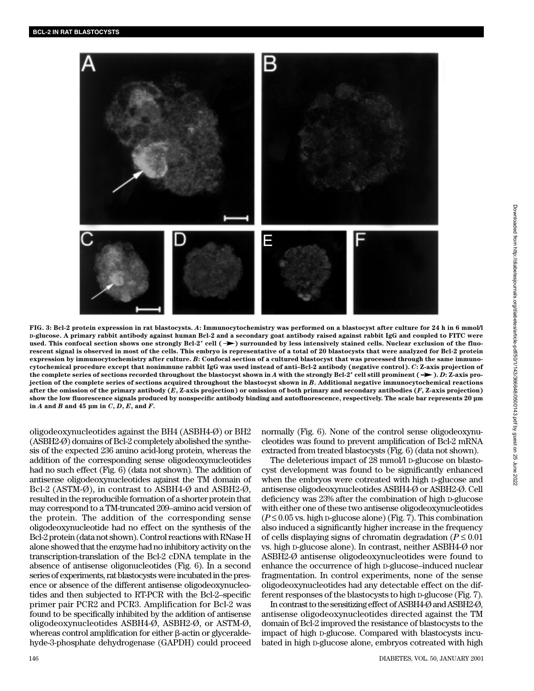

**FIG. 3: Bcl-2 protein expression in rat blastocysts.** *A***: Immunocytochemistry was performed on a blastocyst after culture for 24 h in 6 mmol/l D-glucose. A primary rabbit antibody against human Bcl-2 and a secondary goat antibody raised against rabbit IgG and coupled to FITC were** used. This confocal section shows one strongly  $Bel-2^+$  cell  $( \rightarrow )$  surrounded by less intensively stained cells. Nuclear exclusion of the fluo**rescent signal is observed in most of the cells. This embryo is representative of a total of 20 blastocysts that were analyzed for Bcl-2 protein expression by immunocytochemistry after culture.** *B***: Confocal section of a cultured blastocyst that was processed through the same immunocytochemical procedure except that nonimmune rabbit IgG was used instead of anti–Bcl-2 antibody (negative control).** *C***: Z-axis projection of** the complete series of sections recorded throughout the blastocyst shown in *A* with the strongly Bcl-2<sup>+</sup> cell still prominent  $($   $\rightarrow$   $)$ . *D*: Z-axis pro**jection of the complete series of sections acquired throughout the blastocyst shown in** *B***. Additional negative immunocytochemical reactions after the omission of the primary antibody (***E***, Z-axis projection) or omission of both primary and secondary antibodies (***F***, Z-axis projection) show the low fluorescence signals produced by nonspecific antibody binding and autofluorescence, respectively. The scale bar represents 20 µm in** *A* **and** *B* **and 45 µm in** *C***,** *D***,** *E***, and** *F***.**

oligodeoxynucleotides against the BH4 (ASBH4-Ø) or BH2 (ASBH2-Ø) domains of Bcl-2 completely abolished the synthesis of the expected 236 amino acid-long protein, whereas the addition of the corresponding sense oligodeoxynucleotides had no such effect (Fig. 6) (data not shown). The addition of antisense oligodeoxynucleotides against the TM domain of Bcl-2 (ASTM-Ø), in contrast to ASBH4-Ø and ASBH2-Ø, resulted in the reproducible formation of a shorter protein that may correspond to a TM-truncated 209–amino acid version of the protein. The addition of the corresponding sense oligodeoxynucleotide had no effect on the synthesis of the Bcl-2 protein (data not shown). Control reactions with RNase H alone showed that the enzyme had no inhibitory activity on the transcription-translation of the Bcl-2 cDNA template in the absence of antisense oligonucleotides (Fig. 6). In a second series of experiments, rat blastocysts were incubated in the presence or absence of the different antisense oligodeoxynucleotides and then subjected to RT-PCR with the Bcl-2–specific primer pair PCR2 and PCR3. Amplification for Bcl-2 was found to be specifically inhibited by the addition of antisense oligodeoxynucleotides ASBH4-Ø, ASBH2-Ø, or ASTM-Ø, whereas control amplification for either  $\beta$ -actin or glyceraldehyde-3-phosphate dehydrogenase (GAPDH) could proceed normally (Fig. 6). None of the control sense oligodeoxynucleotides was found to prevent amplification of Bcl-2 mRNA extracted from treated blastocysts (Fig. 6) (data not shown).

The deleterious impact of 28 mmol/l D-glucose on blastocyst development was found to be significantly enhanced when the embryos were cotreated with high D-glucose and antisense oligodeoxynucleotides ASBH4-Ø or ASBH2-Ø. Cell deficiency was 23% after the combination of high D-glucose with either one of these two antisense oligodeoxynucleotides  $(P \le 0.05 \text{ vs. high p-glucose alone})$  (Fig. 7). This combination also induced a significantly higher increase in the frequency of cells displaying signs of chromatin degradation ( $P \leq 0.01$ ) vs. high D-glucose alone). In contrast, neither ASBH4-Ø nor ASBH2-Ø antisense oligodeoxynucleotides were found to enhance the occurrence of high D-glucose–induced nuclear fragmentation. In control experiments, none of the sense oligodeoxynucleotides had any detectable effect on the different responses of the blastocysts to high D-glucose (Fig. 7).

In contrast to the sensitizing effect of ASBH4-Ø and ASBH2-Ø, antisense oligodeoxynucleotides directed against the TM domain of Bcl-2 improved the resistance of blastocysts to the impact of high D-glucose. Compared with blastocysts incubated in high D-glucose alone, embryos cotreated with high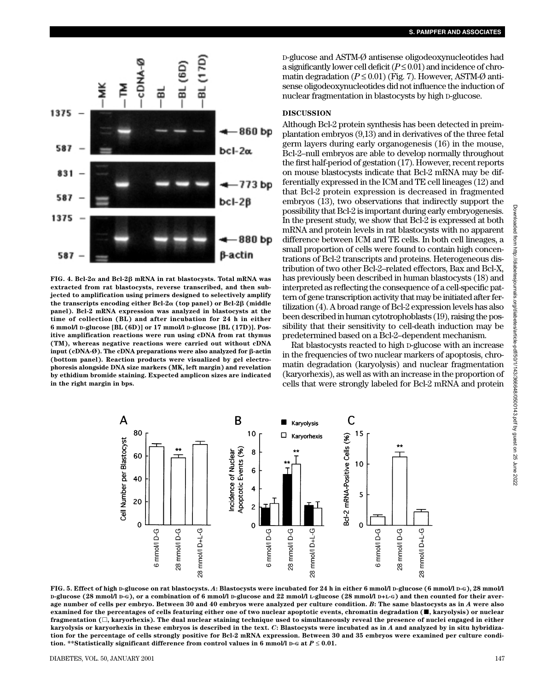

**FIG. 4. Bcl-2**- **and Bcl-2 mRNA in rat blastocysts. Total mRNA was extracted from rat blastocysts, reverse transcribed, and then subjected to amplification using primers designed to selectively amplify the transcripts encoding either Bcl-2α (top panel) or Bcl-2β (middle panel). Bcl-2 mRNA expression was analyzed in blastocysts at the time of collection (BL) and after incubation for 24 h in either 6 mmol/l D-glucose [BL (6D)] or 17 mmol/l D-glucose [BL (17D)]. Positive amplification reactions were run using cDNA from rat thymus (TM), whereas negative reactions were carried out without cDNA input (cDNA-Ø). The cDNA preparations were also analyzed for -actin (bottom panel). Reaction products were visualized by gel electrophoresis alongside DNA size markers (MK, left margin) and revelation by ethidium bromide staining. Expected amplicon sizes are indicated in the right margin in bps.**

D-glucose and ASTM-Ø antisense oligodeoxynucleotides had a significantly lower cell deficit  $(P \le 0.01)$  and incidence of chromatin degradation  $(P \le 0.01)$  (Fig. 7). However, ASTM- $\varnothing$  antisense oligodeoxynucleotides did not influence the induction of nuclear fragmentation in blastocysts by high D-glucose.

# **DISCUSSION**

Although Bcl-2 protein synthesis has been detected in preimplantation embryos (9,13) and in derivatives of the three fetal germ layers during early organogenesis (16) in the mouse, Bcl-2–null embryos are able to develop normally throughout the first half-period of gestation (17). However, recent reports on mouse blastocysts indicate that Bcl-2 mRNA may be differentially expressed in the ICM and TE cell lineages (12) and that Bcl-2 protein expression is decreased in fragmented embryos (13), two observations that indirectly support the possibility that Bcl-2 is important during early embryogenesis. In the present study, we show that Bcl-2 is expressed at both mRNA and protein levels in rat blastocysts with no apparent difference between ICM and TE cells. In both cell lineages, a small proportion of cells were found to contain high concentrations of Bcl-2 transcripts and proteins. Heterogeneous distribution of two other Bcl-2–related effectors, Bax and Bcl-X, has previously been described in human blastocysts (18) and interpreted as reflecting the consequence of a cell-specific pattern of gene transcription activity that may be initiated after fertilization (4). A broad range of Bcl-2 expression levels has also been described in human cytotrophoblasts (19), raising the possibility that their sensitivity to cell-death induction may be predetermined based on a Bcl-2–dependent mechanism.

Rat blastocysts reacted to high D-glucose with an increase in the frequencies of two nuclear markers of apoptosis, chromatin degradation (karyolysis) and nuclear fragmentation (karyorhexis), as well as with an increase in the proportion of cells that were strongly labeled for Bcl-2 mRNA and protein



**FIG. 5. Effect of high D-glucose on rat blastocysts.** *A***: Blastocysts were incubated for 24 h in either 6 mmol/l D-glucose (6 mmol/l D-G), 28 mmol/l D-glucose (28 mmol/l D-G), or a combination of 6 mmol/l D-glucose and 22 mmol/l L-glucose (28 mmol/l D+L-G) and then counted for their average number of cells per embryo. Between 30 and 40 embryos were analyzed per culture condition.** *B***: The same blastocysts as in** *A* **were also examined for the percentages of cells featuring either one of two nuclear apoptotic events, chromatin degradation (, karyolysis) or nuclear fragmentation (, karyorhexis). The dual nuclear staining technique used to simultaneously reveal the presence of nuclei engaged in either karyolysis or karyorhexis in these embryos is described in the text.** *C***: Blastocysts were incubated as in** *A* **and analyzed by in situ hybridization for the percentage of cells strongly positive for Bcl-2 mRNA expression. Between 30 and 35 embryos were examined per culture condition. \*\*Statistically significant difference from control values in 6 mmol/l D-G at**  $P \le 0.01$ **.**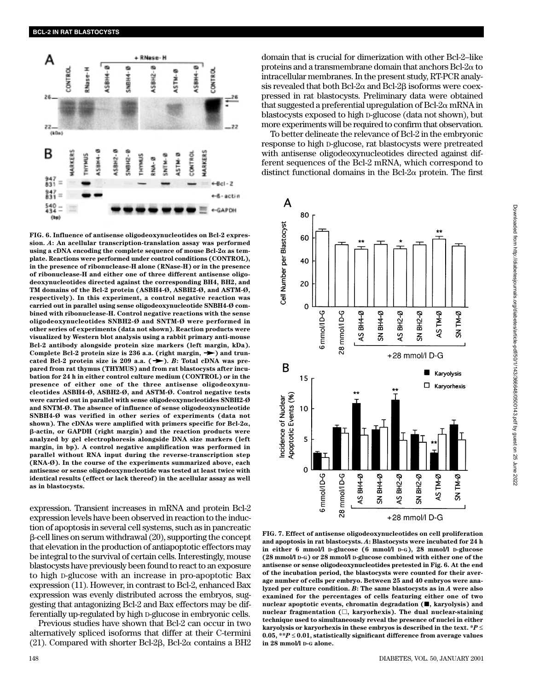

**FIG. 6. Influence of antisense oligodeoxynucleotides on Bcl-2 expression.** *A***: An acellular transcription-translation assay was performed** using a cDNA encoding the complete sequence of mouse Bcl-2α as tem**plate. Reactions were performed under control conditions (CONTROL), in the presence of ribonuclease-H alone (RNase-H) or in the presence of ribonuclease-H and either one of three different antisense oligodeoxynucleotides directed against the corresponding BH4, BH2, and TM domains of the Bcl-2 protein (ASBH4-Ø, ASBH2-Ø, and ASTM-Ø, respectively). In this experiment, a control negative reaction was carried out in parallel using sense oligodeoxynucleotide SNBH4-Ø combined with ribonuclease-H. Control negative reactions with the sense oligodeoxynucleotides SNBH2-Ø and SNTM-Ø were performed in other series of experiments (data not shown). Reaction products were visualized by Western blot analysis using a rabbit primary anti-mouse Bcl-2 antibody alongside protein size markers (left margin, kDa).** Complete Bcl-2 protein size is 236 a.a. (right margin,  $\rightarrow$  ) and truncated Bcl-2 protein size is 209 a.a.  $(\rightarrow)$ . *B*: Total cDNA was pre**pared from rat thymus (THYMUS) and from rat blastocysts after incubation for 24 h in either control culture medium (CONTROL) or in the presence of either one of the three antisense oligodeoxynucleotides ASBH4-Ø, ASBH2-Ø, and ASTM-Ø. Control negative tests were carried out in parallel with sense oligodeoxynucleotides SNBH2-Ø and SNTM-Ø. The absence of influence of sense oligodeoxynucleotide SNBH4-Ø was verified in other series of experiments (data not**  $shown$ ). The cDNAs were amplified with primers specific for Bcl-2 $\alpha$ , **-actin, or GAPDH (right margin) and the reaction products were analyzed by gel electrophoresis alongside DNA size markers (left margin, in bp). A control negative amplification was performed in parallel without RNA input during the reverse-transcription step (RNA-Ø). In the course of the experiments summarized above, each antisense or sense oligodeoxynucleotide was tested at least twice with identical results (effect or lack thereof) in the acellular assay as well as in blastocysts.**

expression. Transient increases in mRNA and protein Bcl-2 expression levels have been observed in reaction to the induction of apoptosis in several cell systems, such as in pancreatic  $\beta$ -cell lines on serum withdrawal (20), supporting the concept that elevation in the production of antiapoptotic effectors may be integral to the survival of certain cells. Interestingly, mouse blastocysts have previously been found to react to an exposure to high D-glucose with an increase in pro-apoptotic Bax expression (11). However, in contrast to Bcl-2, enhanced Bax expression was evenly distributed across the embryos, suggesting that antagonizing Bcl-2 and Bax effectors may be differentially up-regulated by high D-glucose in embryonic cells.

Previous studies have shown that Bcl-2 can occur in two alternatively spliced isoforms that differ at their C-termini (21). Compared with shorter Bcl-2 $\beta$ , Bcl-2 $\alpha$  contains a BH2 domain that is crucial for dimerization with other Bcl-2–like proteins and a transmembrane domain that anchors  $Bcl-2\alpha$  to intracellular membranes. In the present study, RT-PCR analysis revealed that both Bcl-2 $\alpha$  and Bcl-2 $\beta$  isoforms were coexpressed in rat blastocysts. Preliminary data were obtained that suggested a preferential upregulation of  $Bcl-2\alpha$  mRNA in blastocysts exposed to high D-glucose (data not shown), but more experiments will be required to confirm that observation.

To better delineate the relevance of Bcl-2 in the embryonic response to high D-glucose, rat blastocysts were pretreated with antisense oligodeoxynucleotides directed against different sequences of the Bcl-2 mRNA, which correspond to distinct functional domains in the Bcl-2 $\alpha$  protein. The first



**FIG. 7. Effect of antisense oligodeoxynucleotides on cell proliferation and apoptosis in rat blastocysts.** *A***: Blastocysts were incubated for 24 h in either 6 mmol/l D-glucose (6 mmol/l D-G), 28 mmol/l D-glucose (28 mmol/l D-G) or 28 mmol/l D-glucose combined with either one of the antisense or sense oligodeoxynucleotides pretested in Fig. 6. At the end of the incubation period, the blastocysts were counted for their average number of cells per embryo. Between 25 and 40 embryos were analyzed per culture condition.** *B***: The same blastocysts as in** *A* **were also examined for the percentages of cells featuring either one of two nuclear apoptotic events, chromatin degradation (, karyolysis) and nuclear fragmentation (, karyorhexis). The dual nuclear-staining technique used to simultaneously reveal the presence of nuclei in either karyolysis or karyorhexis in these embryos is described in the text. \****P* ≤ **0.05, \*\****P* ≤ **0.01, statistically significant difference from average values in 28 mmol/l D-G alone.**